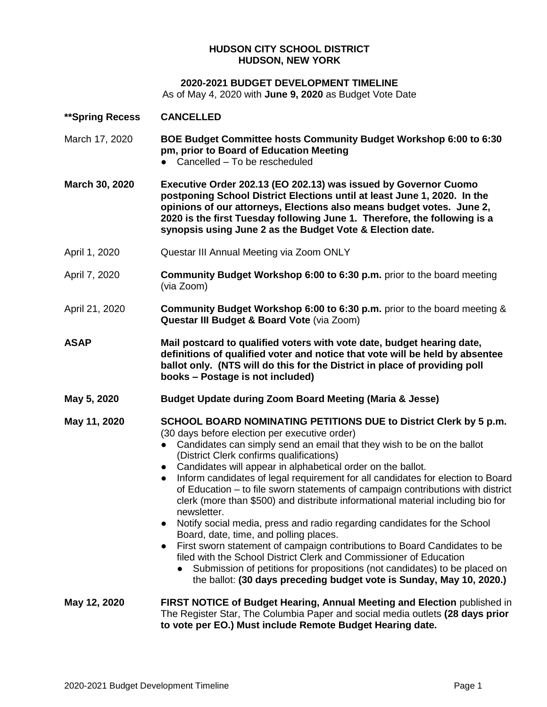## **HUDSON CITY SCHOOL DISTRICT HUDSON, NEW YORK**

## **2020-2021 BUDGET DEVELOPMENT TIMELINE**

As of May 4, 2020 with **June 9, 2020** as Budget Vote Date

| **Spring Recess | <b>CANCELLED</b>                                                                                                                                                                                                                                                                                                                                                                                                                                                                                                                                                                                                                                                                                                                                                                                                                                                                                                                                                                                                                                                           |
|-----------------|----------------------------------------------------------------------------------------------------------------------------------------------------------------------------------------------------------------------------------------------------------------------------------------------------------------------------------------------------------------------------------------------------------------------------------------------------------------------------------------------------------------------------------------------------------------------------------------------------------------------------------------------------------------------------------------------------------------------------------------------------------------------------------------------------------------------------------------------------------------------------------------------------------------------------------------------------------------------------------------------------------------------------------------------------------------------------|
| March 17, 2020  | BOE Budget Committee hosts Community Budget Workshop 6:00 to 6:30<br>pm, prior to Board of Education Meeting<br>• Cancelled - To be rescheduled                                                                                                                                                                                                                                                                                                                                                                                                                                                                                                                                                                                                                                                                                                                                                                                                                                                                                                                            |
| March 30, 2020  | Executive Order 202.13 (EO 202.13) was issued by Governor Cuomo<br>postponing School District Elections until at least June 1, 2020. In the<br>opinions of our attorneys, Elections also means budget votes. June 2,<br>2020 is the first Tuesday following June 1. Therefore, the following is a<br>synopsis using June 2 as the Budget Vote & Election date.                                                                                                                                                                                                                                                                                                                                                                                                                                                                                                                                                                                                                                                                                                             |
| April 1, 2020   | Questar III Annual Meeting via Zoom ONLY                                                                                                                                                                                                                                                                                                                                                                                                                                                                                                                                                                                                                                                                                                                                                                                                                                                                                                                                                                                                                                   |
| April 7, 2020   | <b>Community Budget Workshop 6:00 to 6:30 p.m.</b> prior to the board meeting<br>(via Zoom)                                                                                                                                                                                                                                                                                                                                                                                                                                                                                                                                                                                                                                                                                                                                                                                                                                                                                                                                                                                |
| April 21, 2020  | Community Budget Workshop 6:00 to 6:30 p.m. prior to the board meeting &<br>Questar III Budget & Board Vote (via Zoom)                                                                                                                                                                                                                                                                                                                                                                                                                                                                                                                                                                                                                                                                                                                                                                                                                                                                                                                                                     |
| <b>ASAP</b>     | Mail postcard to qualified voters with vote date, budget hearing date,<br>definitions of qualified voter and notice that vote will be held by absentee<br>ballot only. (NTS will do this for the District in place of providing poll<br>books - Postage is not included)                                                                                                                                                                                                                                                                                                                                                                                                                                                                                                                                                                                                                                                                                                                                                                                                   |
| May 5, 2020     | <b>Budget Update during Zoom Board Meeting (Maria &amp; Jesse)</b>                                                                                                                                                                                                                                                                                                                                                                                                                                                                                                                                                                                                                                                                                                                                                                                                                                                                                                                                                                                                         |
| May 11, 2020    | <b>SCHOOL BOARD NOMINATING PETITIONS DUE to District Clerk by 5 p.m.</b><br>(30 days before election per executive order)<br>Candidates can simply send an email that they wish to be on the ballot<br>$\bullet$<br>(District Clerk confirms qualifications)<br>• Candidates will appear in alphabetical order on the ballot.<br>Inform candidates of legal requirement for all candidates for election to Board<br>$\bullet$<br>of Education – to file sworn statements of campaign contributions with district<br>clerk (more than \$500) and distribute informational material including bio for<br>newsletter.<br>Notify social media, press and radio regarding candidates for the School<br>$\bullet$<br>Board, date, time, and polling places.<br>First sworn statement of campaign contributions to Board Candidates to be<br>$\bullet$<br>filed with the School District Clerk and Commissioner of Education<br>Submission of petitions for propositions (not candidates) to be placed on<br>the ballot: (30 days preceding budget vote is Sunday, May 10, 2020.) |
| May 12, 2020    | FIRST NOTICE of Budget Hearing, Annual Meeting and Election published in<br>The Register Star, The Columbia Paper and social media outlets (28 days prior<br>to vote per EO.) Must include Remote Budget Hearing date.                                                                                                                                                                                                                                                                                                                                                                                                                                                                                                                                                                                                                                                                                                                                                                                                                                                     |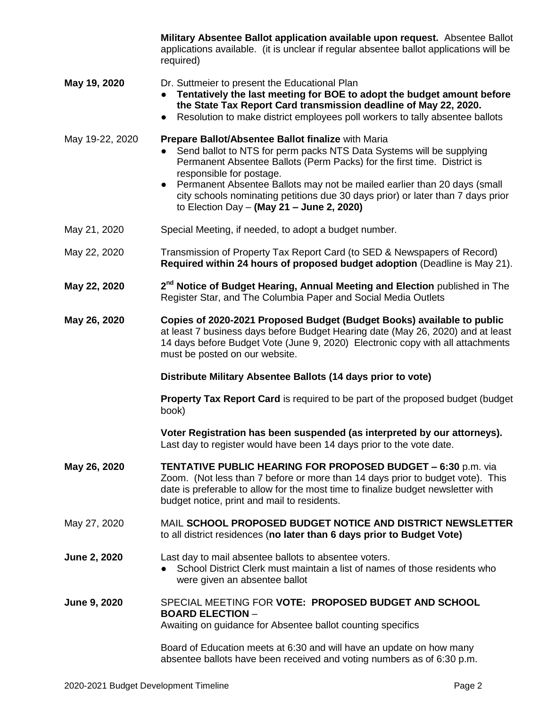|                 | Military Absentee Ballot application available upon request. Absentee Ballot<br>applications available. (it is unclear if regular absentee ballot applications will be<br>required)                                                                                                                                                                                                                                                                            |
|-----------------|----------------------------------------------------------------------------------------------------------------------------------------------------------------------------------------------------------------------------------------------------------------------------------------------------------------------------------------------------------------------------------------------------------------------------------------------------------------|
| May 19, 2020    | Dr. Suttmeier to present the Educational Plan<br>Tentatively the last meeting for BOE to adopt the budget amount before<br>the State Tax Report Card transmission deadline of May 22, 2020.<br>Resolution to make district employees poll workers to tally absentee ballots<br>$\bullet$                                                                                                                                                                       |
| May 19-22, 2020 | Prepare Ballot/Absentee Ballot finalize with Maria<br>Send ballot to NTS for perm packs NTS Data Systems will be supplying<br>Permanent Absentee Ballots (Perm Packs) for the first time. District is<br>responsible for postage.<br>Permanent Absentee Ballots may not be mailed earlier than 20 days (small<br>$\bullet$<br>city schools nominating petitions due 30 days prior) or later than 7 days prior<br>to Election Day $-$ (May 21 $-$ June 2, 2020) |
| May 21, 2020    | Special Meeting, if needed, to adopt a budget number.                                                                                                                                                                                                                                                                                                                                                                                                          |
| May 22, 2020    | Transmission of Property Tax Report Card (to SED & Newspapers of Record)<br>Required within 24 hours of proposed budget adoption (Deadline is May 21).                                                                                                                                                                                                                                                                                                         |
| May 22, 2020    | 2 <sup>nd</sup> Notice of Budget Hearing, Annual Meeting and Election published in The<br>Register Star, and The Columbia Paper and Social Media Outlets                                                                                                                                                                                                                                                                                                       |
| May 26, 2020    | Copies of 2020-2021 Proposed Budget (Budget Books) available to public<br>at least 7 business days before Budget Hearing date (May 26, 2020) and at least<br>14 days before Budget Vote (June 9, 2020) Electronic copy with all attachments<br>must be posted on our website.                                                                                                                                                                                  |
|                 | Distribute Military Absentee Ballots (14 days prior to vote)                                                                                                                                                                                                                                                                                                                                                                                                   |
|                 | <b>Property Tax Report Card</b> is required to be part of the proposed budget (budget<br>book)                                                                                                                                                                                                                                                                                                                                                                 |
|                 | Voter Registration has been suspended (as interpreted by our attorneys).<br>Last day to register would have been 14 days prior to the vote date.                                                                                                                                                                                                                                                                                                               |
| May 26, 2020    | <b>TENTATIVE PUBLIC HEARING FOR PROPOSED BUDGET - 6:30 p.m. via</b><br>Zoom. (Not less than 7 before or more than 14 days prior to budget vote). This<br>date is preferable to allow for the most time to finalize budget newsletter with<br>budget notice, print and mail to residents.                                                                                                                                                                       |
| May 27, 2020    | MAIL SCHOOL PROPOSED BUDGET NOTICE AND DISTRICT NEWSLETTER<br>to all district residences (no later than 6 days prior to Budget Vote)                                                                                                                                                                                                                                                                                                                           |
| June 2, 2020    | Last day to mail absentee ballots to absentee voters.<br>School District Clerk must maintain a list of names of those residents who<br>$\bullet$<br>were given an absentee ballot                                                                                                                                                                                                                                                                              |
| June 9, 2020    | SPECIAL MEETING FOR VOTE: PROPOSED BUDGET AND SCHOOL<br><b>BOARD ELECTION -</b><br>Awaiting on guidance for Absentee ballot counting specifics                                                                                                                                                                                                                                                                                                                 |
|                 | Board of Education meets at 6:30 and will have an update on how many                                                                                                                                                                                                                                                                                                                                                                                           |

absentee ballots have been received and voting numbers as of 6:30 p.m.